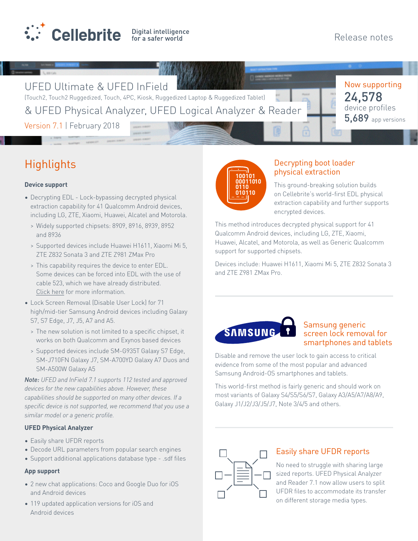

UFED Ultimate & UFED InField

(Touch2, Touch2 Ruggedized, Touch, 4PC, Kiosk, Ruggedized Laptop & Ruggedized Tablet) & UFED Physical Analyzer, UFED Logical Analyzer & Reader Now supporting device profiles 24,578 **5,689** app versions

Version 7.1 | February 2018

# **Highlights**

#### **Device support**

- Decrypting EDL Lock-bypassing decrypted physical extraction capability for 41 Qualcomm Android devices, including LG, ZTE, Xiaomi, Huawei, Alcatel and Motorola.
	- > Widely supported chipsets: 8909, 8916, 8939, 8952 and 8936
	- > Supported devices include Huawei H1611, Xiaomi Mi 5, ZTE Z832 Sonata 3 and ZTE Z981 ZMax Pro
	- > This capability requires the device to enter EDL. Some devices can be forced into EDL with the use of cable 523, which we have already distributed. [Click here](#page-2-0) for more information.
- Lock Screen Removal (Disable User Lock) for 71 high/mid-tier Samsung Android devices including Galaxy S7, S7 Edge, J7, J5, A7 and A5.
	- > The new solution is not limited to a specific chipset, it works on both Qualcomm and Exynos based devices
	- > Supported devices include SM-G935T Galaxy S7 Edge, SM-J710FN Galaxy J7, SM-A700YD Galaxy A7 Duos and SM-A500W Galaxy A5

*Note: UFED and InField 7.1 supports 112 tested and approved devices for the new capabilities above. However, these capabilities should be supported on many other devices. If a specific device is not supported, we recommend that you use a similar model or a generic profile.*

#### **UFED Physical Analyzer**

- Easily share UFDR reports
- Decode URL parameters from popular search engines
- Support additional applications database type .sdf files

#### **App support**

- 2 new chat applications: Coco and Google Duo for iOS and Android devices
- 119 updated application versions for iOS and Android devices



## Decrypting boot loader physical extraction

This ground-breaking solution builds on Cellebrite's world-first EDL physical extraction capability and further supports encrypted devices.

This method introduces decrypted physical support for 41 Qualcomm Android devices, including LG, ZTE, Xiaomi, Huawei, Alcatel, and Motorola, as well as Generic Qualcomm support for supported chipsets.

Devices include: Huawei H1611, Xiaomi Mi 5, ZTE Z832 Sonata 3 and ZTE Z981 ZMax Pro.



## Samsung generic screen lock removal for smartphones and tablets

Disable and remove the user lock to gain access to critical evidence from some of the most popular and advanced Samsung Android-OS smartphones and tablets.

This world-first method is fairly generic and should work on most variants of Galaxy S4/S5/S6/S7, Galaxy A3/A5/A7/A8/A9, Galaxy J1/J2/J3/J5/J7, Note 3/4/5 and others.



# Easily share UFDR reports

No need to struggle with sharing large sized reports. UFED Physical Analyzer and Reader 7.1 now allow users to split UFDR files to accommodate its transfer on different storage media types.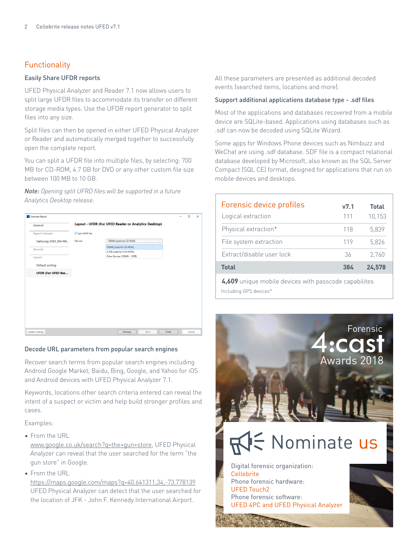# **Functionality**

#### Easily Share UFDR reports

UFED Physical Analyzer and Reader 7.1 now allows users to split large UFDR files to accommodate its transfer on different storage media types. Use the UFDR report generator to split files into any size.

Split files can then be opened in either UFED Physical Analyzer or Reader and automatically merged together to successfully open the complete report.

You can split a UFDR file into multiple files, by selecting: 700 MB for CD-ROM, 4.7 GB for DVD or any other custom file size between 100 MB to 10 GB.

*Note: Opening split UFRD files will be supported in a future Analytics Desktop release.*



#### Decode URL parameters from popular search engines

Recover search terms from popular search engines including Android Google Market, Baidu, Bing, Google, and Yahoo for iOS and Android devices with UFED Physical Analyzer 7.1.

Keywords, locations other search criteria entered can reveal the intent of a suspect or victim and help build stronger profiles and cases.

Examples:

• From the URL

[www.google.co.uk/search?q=the+gun+store](http://www.google.co.uk/search?q=the+gun+store), UFED Physical Analyzer can reveal that the user searched for the term "the gun store" in Google.

• From the URL

<https://maps.google.com/maps?q=40.641311,34,-73.778139> UFED Physical Analyzer can detect that the user searched for the location of JFK - John F. Kennedy International Airport.

All these parameters are presented as additional decoded events (searched items, locations and more).

#### Support additional applications database type - .sdf files

Most of the applications and databases recovered from a mobile device are SQLite-based. Applications using databases such as .sdf can now be decoded using SQLite Wizard.

Some apps for Windows Phone devices such as Nimbuzz and WeChat are using .sdf database. SDF file is a compact relational database developed by Microsoft, also known as the SQL Server Compact (SQL CE) format, designed for applications that run on mobile devices and desktops.

| Forensic device profiles  | v7.1       | <b>Total</b> |
|---------------------------|------------|--------------|
| Logical extraction        | 111        | 10,153       |
| Physical extraction*      | 118        | 5.839        |
| File system extraction    | 119        | 5.826        |
| Extract/disable user lock | 36         | 2.760        |
| <b>Total</b>              | <b>384</b> | 24.578       |

Including GPS devices\* **4,609** unique mobile devices with passcode capabilites

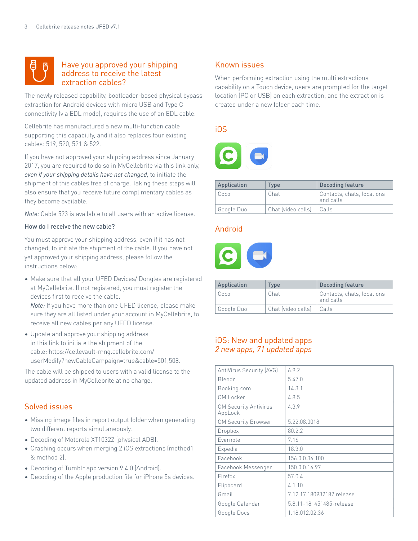<span id="page-2-0"></span>

## Have you approved your shipping address to receive the latest extraction cables?

The newly released capability, bootloader-based physical bypass extraction for Android devices with micro USB and Type C connectivity (via EDL mode), requires the use of an EDL cable.

Cellebrite has manufactured a new multi-function cable supporting this capability, and it also replaces four existing cables: 519, 520, 521 & 522.

If you have not approved your shipping address since January 2017, you are required to do so in MyCellebrite via [this link](https://cellevault-mng.cellebrite.com/userModify?newCableCampaign=true&cable=501,508) only, *even if your shipping details have not changed,* to initiate the shipment of this cables free of charge. Taking these steps will also ensure that you receive future complimentary cables as they become available.

*Note:* Cable 523 is available to all users with an active license.

#### How do I receive the new cable?

You must approve your shipping address, even if it has not changed, to initiate the shipment of the cable. If you have not yet approved your shipping address, please follow the instructions below:

• Make sure that all your UFED Devices/ Dongles are registered at MyCellebrite. If not registered, you must register the devices first to receive the cable.

*Note:* If you have more than one UFED license, please make sure they are all listed under your account in MyCellebrite, to receive all new cables per any UFED license.

• Update and approve your shipping address in this link to initiate the shipment of the cable: [https://cellevault-mng.cellebrite.com/](https://cellevault-mng.cellebrite.com/userModify?newCableCampaign=true&cable=501,508) [userModify?newCableCampaign=true&cable=501,508.](https://cellevault-mng.cellebrite.com/userModify?newCableCampaign=true&cable=501,508)

The cable will be shipped to users with a valid license to the updated address in MyCellebrite at no charge.

#### Solved issues

- Missing image files in report output folder when generating two different reports simultaneously.
- Decoding of Motorola XT1032Z (physical ADB).
- Crashing occurs when merging 2 iOS extractions (method1 & method 2).
- Decoding of Tumblr app version 9.4.0 (Android).
- Decoding of the Apple production file for iPhone 5s devices.

#### Known issues

When performing extraction using the multi extractions capability on a Touch device, users are prompted for the target location (PC or USB) on each extraction, and the extraction is created under a new folder each time.

## iOS



| Application | <b>Type</b>                | Decoding feature                        |
|-------------|----------------------------|-----------------------------------------|
| Coco        | Chat                       | Contacts, chats, locations<br>and calls |
| Google Duo  | Chat (video calls)   Calls |                                         |

#### Android



| Application | <b>Type</b>                | Decoding feature                        |
|-------------|----------------------------|-----------------------------------------|
| Coco        | Chat                       | Contacts, chats, locations<br>and calls |
| Google Duo  | Chat (video calls)   Calls |                                         |

## iOS: New and updated apps *2 new apps, 71 updated apps*

| AntiVirus Security (AVG)                | 6.9.2                     |
|-----------------------------------------|---------------------------|
| Blendr                                  | 5.47.0                    |
| Booking.com                             | 14.3.1                    |
| <b>CM Locker</b>                        | 4.8.5                     |
| <b>CM Security Antivirus</b><br>AppLock | 4.3.9                     |
| <b>CM Security Browser</b>              | 5.22.08.0018              |
| Dropbox                                 | 80.2.2                    |
| Evernote                                | 7.16                      |
| Expedia                                 | 18.3.0                    |
| Facebook                                | 156.0.0.36.100            |
| Facebook Messenger                      | 150.0.0.16.97             |
| Firefox                                 | 57.0.4                    |
| Flipboard                               | 4.1.10                    |
| Gmail                                   | 7.12.17.180932182.release |
| Google Calendar                         | 5.8.11-181451485-release  |
| Google Docs                             | 1.18.012.02.36            |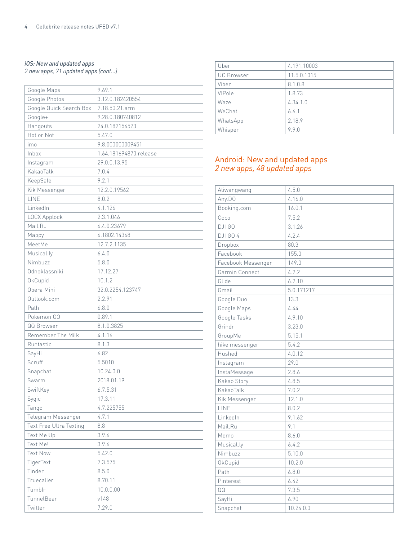#### *iOS: New and updated apps*

*2 new apps, 71 updated apps (cont...)*

| Google Maps                    | 9.69.1                 |
|--------------------------------|------------------------|
| Google Photos                  | 3.12.0.182420554       |
| Google Quick Search Box        | 7.18.50.21.arm         |
| Google+                        | 9.28.0.180740812       |
| Hangouts                       | 24.0.182154523         |
| Hot or Not                     | 5.47.0                 |
| imo                            | 9.8.000000009451       |
| Inbox                          | 1.64.181694870.release |
| Instagram                      | 29.0.0.13.95           |
| KakaoTalk                      | 7.0.4                  |
| KeepSafe                       | 9.2.1                  |
| Kik Messenger                  | 12.2.0.19562           |
| LINE                           | 8.0.2                  |
| LinkedIn                       | 4.1.126                |
| LOCX Applock                   | 2.3.1.046              |
| Mail.Ru                        | 6.4.0.23679            |
| Mappy                          | 6.1802.14368           |
| MeetMe                         | 12.7.2.1135            |
| Musical.ly                     | 6.4.0                  |
| Nimbuzz                        | 5.8.0                  |
| Odnoklassniki                  | 17.12.27               |
| OkCupid                        | 10.1.2                 |
| Opera Mini                     | 32.0.2254.123747       |
| Outlook.com                    | 2.2.91                 |
| Path                           | 6.8.0                  |
| Pokemon GO                     | 0.89.1                 |
| QQ Browser                     | 8.1.0.3825             |
| Remember The Milk              | 4.1.16                 |
| Runtastic                      | 8.1.3                  |
| SayHi                          | 6.82                   |
| Scruff                         | 5.5010                 |
| Snapchat                       | 10.24.0.0              |
| Swarm                          | 2018.01.19             |
| SwiftKey                       | 6.7.5.31               |
| Sygic                          | 17.3.11                |
| Tango                          | 4.7.225755             |
| Telegram Messenger             | 4.7.1                  |
| <b>Text Free Ultra Texting</b> | 8.8                    |
| Text Me Up                     | 3.9.6                  |
| Text Me!                       | 3.9.6                  |
| <b>Text Now</b>                | 5.42.0                 |
| TigerText                      | 7.3.575                |
| Tinder                         | 8.5.0                  |
| Truecaller                     | 8.70.11                |
| Tumblr                         | 10.0.0.00              |
| TunnelBear                     | v148                   |
| Twitter                        | 7.29.0                 |

| Uber              | 4.191.10003 |
|-------------------|-------------|
| <b>UC</b> Browser | 11.5.0.1015 |
| Viber             | 8.1.0.8     |
| VIPole            | 1.8.73      |
| Waze              | 4.34.1.0    |
| WeChat            | 6.6.1       |
| WhatsApp          | 2.18.9      |
| Whisper           | 9.9.0       |

## Android: New and updated apps *2 new apps, 48 updated apps*

| Aliwangwang        | 4.5.0      |
|--------------------|------------|
| Any.DO             | 4.16.0     |
| Booking.com        | 16.0.1     |
| Coco               | 7.5.2      |
| DJI GO             | 3.1.26     |
| <b>DJI GO 4</b>    | 4.2.4      |
| Dropbox            | 80.3       |
| Facebook           | 155.0      |
| Facebook Messenger | 149.0      |
| Garmin Connect     | 4.2.2      |
| Glide              | 6.2.10     |
| Gmail              | 5.0.171217 |
| Google Duo         | 13.3       |
| Google Maps        | 4.44       |
| Google Tasks       | 4.9.10     |
| Grindr             | 3.23.0     |
| GroupMe            | 5.15.1     |
| hike messenger     | 5.4.2      |
| Hushed             | 4.0.12     |
| Instagram          | 29.0       |
| InstaMessage       | 2.8.6      |
| Kakao Story        | 4.8.5      |
| KakaoTalk          | 7.0.2      |
| Kik Messenger      | 12.1.0     |
| LINE               | 8.0.2      |
| LinkedIn           | 9.1.62     |
| Mail.Ru            | 9.1        |
| Momo               | 8.6.0      |
| Musical.ly         | 6.4.2      |
| Nimbuzz            | 5.10.0     |
| OkCupid            | 10.2.0     |
| Path               | 6.8.0      |
| Pinterest          | 6.42       |
| QQ                 | 7.3.5      |
| SayHi              | 6.90       |
| Snapchat           | 10.24.0.0  |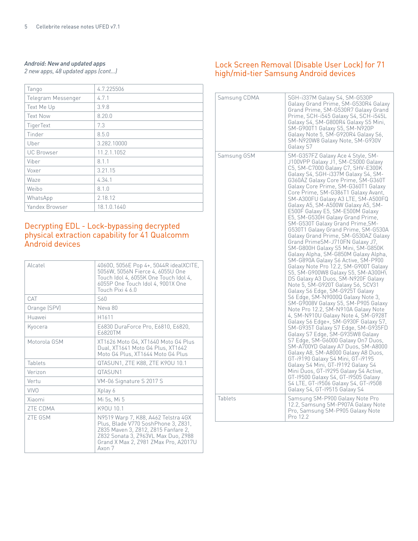# *Android: New and updated apps*

*2 new apps, 48 updated apps (cont...)*

| Tango              | 4.7.225506  |
|--------------------|-------------|
| Telegram Messenger | 4.7.1       |
| Text Me Up         | 3.9.8       |
| <b>Text Now</b>    | 8.20.0      |
| TigerText          | 7.3         |
| Tinder             | 8.5.0       |
| Uber               | 3.282.10000 |
| <b>UC Browser</b>  | 11.2.1.1052 |
| Viber              | 8.1.1       |
| Voxer              | 3.21.15     |
| Waze               | 4.34.1      |
| Weibo              | 8.1.0       |
| WhatsApp           | 2.18.12     |
| Yandex Browser     | 18.1.0.1640 |

## Decrypting EDL - Lock-bypassing decrypted physical extraction capability for 41 Qualcomm Android devices

| Alcatel         | 40600, 5056E Pop 4+, 5044R idealXCITE,<br>5056W, 5056N Fierce 4, 6055U One<br>Touch Idol 4, 6055K One Touch Idol 4,<br>6055P One Touch Idol 4, 9001X One<br>Touch Pixi 460                                 |
|-----------------|------------------------------------------------------------------------------------------------------------------------------------------------------------------------------------------------------------|
| CAT             | S60                                                                                                                                                                                                        |
| Orange (SPV)    | Neva 80                                                                                                                                                                                                    |
| Huawei          | H <sub>1611</sub>                                                                                                                                                                                          |
| Kyocera         | E6830 DuraForce Pro, E6810, E6820,<br>F6820TM                                                                                                                                                              |
| Motorola GSM    | XT1626 Moto G4, XT1640 Moto G4 Plus<br>Dual, XT1641 Moto G4 Plus, XT1642<br>Moto G4 Plus, XT1644 Moto G4 Plus                                                                                              |
| Tablets         | QTASUN1, ZTE K88, ZTE K90U 10.1                                                                                                                                                                            |
| Verizon         | QTASUN1                                                                                                                                                                                                    |
| Vertu           | VM-06 Signature S 2017 S                                                                                                                                                                                   |
| <b>VIVO</b>     | Xplay 6                                                                                                                                                                                                    |
| Xiaomi          | Mi 5s. Mi 5                                                                                                                                                                                                |
| <b>ZTE CDMA</b> | K90U 101                                                                                                                                                                                                   |
| <b>7TF GSM</b>  | N9519 Warp 7, K88, A462 Telstra 4GX<br>Plus, Blade V770 SoshPhone 3, Z831,<br>Z835 Maven 3, Z812, Z815 Fanfare 2,<br>Z832 Sonata 3, Z963VL Max Duo, Z988<br>Grand X Max 2, Z981 ZMax Pro, A2017U<br>Axon 7 |

## Lock Screen Removal (Disable User Lock) for 71 high/mid-tier Samsung Android devices

| Samsung CDMA | SGH-i337M Galaxy S4, SM-G530P<br>Galaxy Grand Prime, SM-G530R4 Galaxy<br>Grand Prime, SM-G530R7 Galaxy Grand<br>Prime, SCH-i545 Galaxy S4, SCH-i545L<br>Galaxy S4, SM-G800R4 Galaxy S5 Mini,<br>SM-G900T1 Galaxy S5, SM-N920P<br>Galaxy Note 5, SM-G920R4 Galaxy S6,<br>SM-N920W8 Galaxy Note, SM-G930V<br>Galaxy S7                                                                                                                                                                                                                                                                                                                                                                                                                                                                                                                                                                                                                                                                                                                                                                                                                                                                                                                                                                                                                                                                                                                                                                                                                 |
|--------------|--------------------------------------------------------------------------------------------------------------------------------------------------------------------------------------------------------------------------------------------------------------------------------------------------------------------------------------------------------------------------------------------------------------------------------------------------------------------------------------------------------------------------------------------------------------------------------------------------------------------------------------------------------------------------------------------------------------------------------------------------------------------------------------------------------------------------------------------------------------------------------------------------------------------------------------------------------------------------------------------------------------------------------------------------------------------------------------------------------------------------------------------------------------------------------------------------------------------------------------------------------------------------------------------------------------------------------------------------------------------------------------------------------------------------------------------------------------------------------------------------------------------------------------|
| Samsung GSM  | SM-G357FZ Galaxy Ace 4 Style, SM-<br>J100VPP Galaxy J1, SM-C5000 Galaxy<br>C5, SM-C7000 Galaxy C7, SHV-E300K<br>Galaxy S4, SGH-i337M Galaxy S4, SM-<br>G360AZ Galaxy Core Prime, SM-G360T<br>Galaxy Core Prime, SM-G360T1 Galaxy<br>Core Prime, SM-G386T1 Galaxy Avant,<br>SM-A300FU Galaxy A3 LTE, SM-A500FQ<br>Galaxy A5, SM-A500W Galaxy A5, SM-<br>E500F Galaxy E5, SM-E500M Galaxy<br>E5, SM-G530H Galaxy Grand Prime,<br>SM-G530T Galaxy Grand Prime, SM-<br>G530T1 Galaxy Grand Prime, SM-G530A<br>Galaxy Grand Prime, SM-G530AZ Galaxy<br>Grand PrimeSM-J710FN Galaxy J7,<br>SM-G800H Galaxy S5 Mini, SM-G850K<br>Galaxy Alpha, SM-G850M Galaxy Alpha,<br>SM-G890A Galaxy S6 Active, SM-P900<br>Galaxy Note Pro 12.2, SM-G900T Galaxy<br>S5, SM-G900W8 Galaxy S5, SM-A300H\<br>DS Galaxy A3 Duos, SM-N920F Galaxy<br>Note 5, SM-G920T Galaxy S6, SCV31<br>Galaxy S6 Edge, SM-G925T Galaxy<br>S6 Edge, SM-N9000Q Galaxy Note 3,<br>SM-G9008V Galaxy S5, SM-P905 Galaxy<br>Note Pro 12.2, SM-N910A Galaxy Note<br>4, SM-N910U Galaxy Note 4, SM-G928T<br>Galaxy S6 Edge+, SM-G930F Galaxy S7,<br>SM-G935T Galaxy S7 Edge, SM-G935FD<br>Galaxy S7 Edge, SM-G935W8 Galaxy<br>S7 Edge, SM-G6000 Galaxy On7 Duos,<br>SM-A700YD Galaxy A7 Duos, SM-A8000<br>Galaxy A8, SM-A8000 Galaxy A8 Duos,<br>GT-i9190 Galaxy S4 Mini, GT-i9195<br>Galaxy S4 Mini, GT-19192 Galaxy S4<br>Mini Duos, GT-19295 Galaxy S4 Active,<br>GT-19500 Galaxy S4, GT-19505 Galaxy<br>S4 LTE, GT-i9506 Galaxy S4, GT-i9508<br>Galaxy S4, GT-19515 Galaxy S4 |
| Tablets      | Samsung SM-P900 Galaxy Note Pro<br>12.2, Samsung SM-P907A Galaxy Note<br>Pro, Samsung SM-P905 Galaxy Note<br>Pro 12.2                                                                                                                                                                                                                                                                                                                                                                                                                                                                                                                                                                                                                                                                                                                                                                                                                                                                                                                                                                                                                                                                                                                                                                                                                                                                                                                                                                                                                |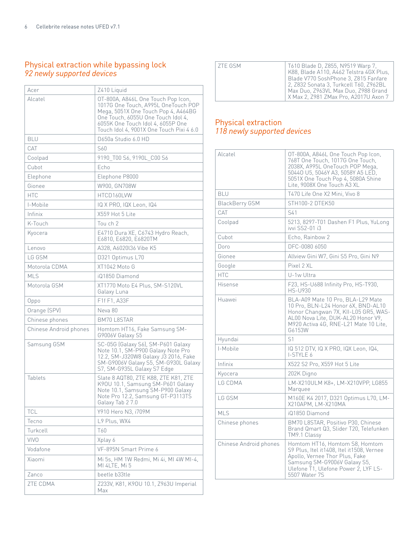## Physical extraction while bypassing lock *92 newly supported devices*

| Acer                   | Z410 Liquid                                                                                                                                                                                                                             |
|------------------------|-----------------------------------------------------------------------------------------------------------------------------------------------------------------------------------------------------------------------------------------|
| Alcatel                | OT-800A, A846L One Touch Pop Icon,<br>1017G One Touch, A995L OneTouch POP<br>Mega, 5051X One Touch Pop 4, A464BG<br>One Touch, 6055U One Touch Idol 4,<br>6055K One Touch Idol 4, 6055P One<br>Touch Idol 4, 9001X One Touch Pixi 4 6.0 |
| <b>BLU</b>             | D650a Studio 6.0 HD                                                                                                                                                                                                                     |
| CAT                    | S60                                                                                                                                                                                                                                     |
| Coolpad                | 9190_T00 S6, 9190L_C00 S6                                                                                                                                                                                                               |
| Cubot                  | Echo                                                                                                                                                                                                                                    |
| Elephone               | Elephone P8000                                                                                                                                                                                                                          |
| Gionee                 | W900, GN708W                                                                                                                                                                                                                            |
| <b>HTC</b>             | HTCD160LVW                                                                                                                                                                                                                              |
| I-Mobile               | IQ X PRO, IQX Leon, IQ4                                                                                                                                                                                                                 |
| Infinix                | X559 Hot 5 Lite                                                                                                                                                                                                                         |
| K-Touch                | Tou ch 2                                                                                                                                                                                                                                |
| Kyocera                | E4710 Dura XE, C6743 Hydro Reach,<br>E6810, E6820, E6820TM                                                                                                                                                                              |
| Lenovo                 | A328, A6020136 Vibe K5                                                                                                                                                                                                                  |
| <b>IGGSM</b>           | D321 Optimus L70                                                                                                                                                                                                                        |
| Motorola CDMA          | XT1042 Moto G                                                                                                                                                                                                                           |
| MI S                   | iQ1850 Diamond                                                                                                                                                                                                                          |
| Motorola GSM           | XT1770 Moto E4 Plus, SM-S120VL<br>Galaxy Luna                                                                                                                                                                                           |
| Oppo                   | F1f F1, A33F                                                                                                                                                                                                                            |
| Orange (SPV)           | Neva 80                                                                                                                                                                                                                                 |
| Chinese phones         | <b>BM70 L8STAR</b>                                                                                                                                                                                                                      |
| Chinese Android phones | Homtom HT16, Fake Samsung SM-<br>G9006V Galaxy S5                                                                                                                                                                                       |
| Samsung GSM            | SC-05G (Galaxy S6), SM-P601 Galaxy<br>Note 10.1, SM-P900 Galaxy Note Pro<br>12.2, SM-J320W8 Galaxy J3 2016, Fake<br>SM-G9006V Galaxy S5, SM-G930L Galaxy<br>S7, SM-G935L Galaxy S7 Edge                                                 |
| Tablets                | Slate 8 AQT80, ZTE K88, ZTE K81, ZTE<br>K90U 10.1, Samsung SM-P601 Galaxy<br>Note 10.1, Samsung SM-P900 Galaxy<br>Note Pro 12.2, Samsung GT-P3113TS<br>Galaxy Tab 2 7.0                                                                 |
| <b>TCL</b>             | Y910 Hero N3, i709M                                                                                                                                                                                                                     |
| Tecno                  | L9 Plus, WX4                                                                                                                                                                                                                            |
| Turkcell               | T60                                                                                                                                                                                                                                     |
| <b>VIVO</b>            | Xplay 6                                                                                                                                                                                                                                 |
| Vodafone               | VF-895N Smart Prime 6                                                                                                                                                                                                                   |
| Xiaomi                 | Mi 5s, HM 1W Redmi, Mi 4i, MI 4W MI-4,<br>MI 4LTE, Mi 5                                                                                                                                                                                 |
| Zanco                  | beetle b33tle                                                                                                                                                                                                                           |
| <b>ZTE CDMA</b>        | Z233V, K81, K90U 10.1, Z963U Imperial<br>Max                                                                                                                                                                                            |

| 7TF GSM<br>T610 Blade D, Z855, N9519 Warp 7,<br>K88, Blade A110, A462 Telstra 4GX Plus,<br>Blade V770 SoshPhone 3, Z815 Fanfare<br>2, Z832 Sonata 3, Turkcell T60, Z962BL<br>Max Duo, Z963VL Max Duo, Z988 Grand<br>X Max 2, Z981 ZMax Pro, A2017U Axon 7 |  |
|-----------------------------------------------------------------------------------------------------------------------------------------------------------------------------------------------------------------------------------------------------------|--|

## Physical extraction *118 newly supported devices*

| Alcatel                | OT-800A, A846L One Touch Pop Icon,<br>768T One Touch, 1017G One Touch,<br>2038X, A995L OneTouch POP Mega,<br>50440 U5, 5046Y A3, 5058Y A5 LED,<br>5051X One Touch Pop 4, 5080A Shine<br>Lite, 9008X One Touch A3 XL |
|------------------------|---------------------------------------------------------------------------------------------------------------------------------------------------------------------------------------------------------------------|
| <b>BLU</b>             | T470 Life One X2 Mini, Vivo 8                                                                                                                                                                                       |
| <b>BlackBerry GSM</b>  | STH100-2 DTEK50                                                                                                                                                                                                     |
| CAT                    | S41                                                                                                                                                                                                                 |
| Coolpad                | 5213, 8297-T01 Dashen F1 Plus, YuLong<br>ivvi SS2-01 i3                                                                                                                                                             |
| Cubot                  | Echo, Rainbow 2                                                                                                                                                                                                     |
| Doro                   | DEC-0080 6050                                                                                                                                                                                                       |
| Gionee                 | Allview Gini W7, Gini S5 Pro, Gini N9                                                                                                                                                                               |
| Google                 | Pixel 2 XL                                                                                                                                                                                                          |
| <b>HTC</b>             | U-1w Ultra                                                                                                                                                                                                          |
| Hisense                | F23, HS-U688 Infinity Pro, HS-T930,<br><b>HS-U930</b>                                                                                                                                                               |
| Huawei                 | BLA-A09 Mate 10 Pro. BLA-L29 Mate<br>10 Pro, BLN-L24 Honor 6X, BND-AL10<br>Honor Changwan 7X, KII-L05 GR5, WAS-<br>AL00 Nova Lite, DUK-AL20 Honor V9,<br>M920 Activa 4G, RNE-L21 Mate 10 Lite,<br>G6153W            |
| Hyundai                | S <sub>1</sub>                                                                                                                                                                                                      |
| I-Mobile               | IQ 512 DTV, IQ X PRO, IQX Leon, IQ4,<br>I-STYLE 6                                                                                                                                                                   |
| Infinix                | X522 S2 Pro, X559 Hot 5 Lite                                                                                                                                                                                        |
| Kyocera                | 202K Digno                                                                                                                                                                                                          |
| LG CDMA                | LM-X210ULM K8+, LM-X210VPP, LG855<br>Marquee                                                                                                                                                                        |
| LG GSM                 | M160E K4 2017, D321 Optimus L70, LM-<br>X210APM, LM-X210MA                                                                                                                                                          |
| <b>MLS</b>             | iQ1850 Diamond                                                                                                                                                                                                      |
| Chinese phones         | BM70 L8STAR, Positivo P30, Chinese<br>Brand Qmart Q3, Slider T20, Telefunken<br>TM9.1 Classv                                                                                                                        |
| Chinese Android phones | Homtom HT16, Homtom S8, Homtom<br>S9 Plus, Itel it1408, Itel it1508, Vernee<br>Apollo, Vernee Thor Plus, Fake<br>Samsung SM-G9006V Galaxy S5,<br>Ulefone T1, Ulefone Power 2, LYF LS-<br>5507 Water 7S              |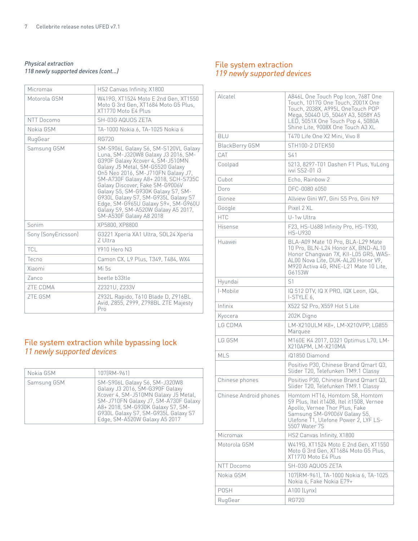#### *Physical extraction 118 newly supported devices (cont...)*

| Micromax            | HS2 Canvas Infinity, X1800                                                                                                                                                                                                                                                                                                                                                                                                                                |
|---------------------|-----------------------------------------------------------------------------------------------------------------------------------------------------------------------------------------------------------------------------------------------------------------------------------------------------------------------------------------------------------------------------------------------------------------------------------------------------------|
| Motorola GSM        | W419G, XT1524 Moto E 2nd Gen, XT1550<br>Moto G 3rd Gen, XT1684 Moto G5 Plus,<br>XT1770 Moto E4 Plus                                                                                                                                                                                                                                                                                                                                                       |
| NTT Docomo          | SH-03G AQUOS ZETA                                                                                                                                                                                                                                                                                                                                                                                                                                         |
| Nokia GSM           | TA-1000 Nokia 6, TA-1025 Nokia 6                                                                                                                                                                                                                                                                                                                                                                                                                          |
| RugGear             | <b>RG720</b>                                                                                                                                                                                                                                                                                                                                                                                                                                              |
| Samsung GSM         | SM-S906L Galaxy S6, SM-S120VL Galaxy<br>Luna, SM-J320W8 Galaxy J3 2016, SM-<br>G390F Galaxy Xcover 4, SM-J510MN<br>Galaxy J5 Metal, SM-G5520 Galaxy<br>On5 Neo 2016, SM-J710FN Galaxy J7,<br>SM-A730F Galaxy A8+ 2018, SCH-S735C<br>Galaxy Discover, Fake SM-G9006V<br>Galaxy S5, SM-G930K Galaxy S7, SM-<br>G930L Galaxy S7, SM-G935L Galaxy S7<br>Edge, SM-G965U Galaxy S9+, SM-G960U<br>Galaxy S9, SM-A520W Galaxy A5 2017,<br>SM-A530F Galaxy A8 2018 |
| Sonim               | XP5800, XP8800                                                                                                                                                                                                                                                                                                                                                                                                                                            |
| Sony (SonyEricsson) | G3221 Xperia XA1 Ultra, SOL24 Xperia<br>Z Ultra                                                                                                                                                                                                                                                                                                                                                                                                           |
| <b>TCL</b>          | Y910 Hero N3                                                                                                                                                                                                                                                                                                                                                                                                                                              |
| Tecno               | Camon CX, L9 Plus, T349, T484, WX4                                                                                                                                                                                                                                                                                                                                                                                                                        |
| Xiaomi              | Mi 5s                                                                                                                                                                                                                                                                                                                                                                                                                                                     |
| Zanco               | beetle b33tle                                                                                                                                                                                                                                                                                                                                                                                                                                             |
| <b>ZTE CDMA</b>     | Z2321U, Z233V                                                                                                                                                                                                                                                                                                                                                                                                                                             |
| <b>ZTE GSM</b>      | Z932L Rapido, T610 Blade D, Z916BL<br>Avid, Z855, Z999, Z798BL ZTE Majesty<br>Pro                                                                                                                                                                                                                                                                                                                                                                         |

# File system extraction while bypassing lock *11 newly supported devices*

| Nokia GSM   | 107(RM-961)                                                                                                                                                                                                                                                   |
|-------------|---------------------------------------------------------------------------------------------------------------------------------------------------------------------------------------------------------------------------------------------------------------|
| Samsung GSM | SM-S906L Galaxy S6, SM-J320W8<br>Galaxy J3 2016, SM-G390F Galaxy<br>Xcover 4, SM-J510MN Galaxy J5 Metal,<br>SM-J710FN Galaxy J7, SM-A730F Galaxy<br>A8+ 2018, SM-G930K Galaxy S7, SM-<br>G930L Galaxy S7, SM-G935L Galaxy S7<br>Edge, SM-A520W Galaxy A5 2017 |

## File system extraction *119 newly supported devices*

| Alcatel                | A846L One Touch Pop Icon, 768T One<br>Touch, 1017G One Touch, 2001X One<br>Touch, 2038X, A995L OneTouch POP<br>Mega, 50440 U5, 5046Y A3, 5058Y A5<br>LED, 5051X One Touch Pop 4, 5080A<br>Shine Lite, 9008X One Touch A3 XL |
|------------------------|-----------------------------------------------------------------------------------------------------------------------------------------------------------------------------------------------------------------------------|
| <b>BLU</b>             | T470 Life One X2 Mini, Vivo 8                                                                                                                                                                                               |
| <b>BlackBerry GSM</b>  | STH100-2 DTEK50                                                                                                                                                                                                             |
| CAT                    | S41                                                                                                                                                                                                                         |
| Coolpad                | 5213, 8297-T01 Dashen F1 Plus, YuLong<br>ivvi SS2-01 i3                                                                                                                                                                     |
| Cubot                  | Echo, Rainbow 2                                                                                                                                                                                                             |
| Doro                   | DFC-0080 6050                                                                                                                                                                                                               |
| Gionee                 | Allview Gini W7, Gini S5 Pro, Gini N9                                                                                                                                                                                       |
| Google                 | Pixel 2 XL                                                                                                                                                                                                                  |
| <b>HTC</b>             | U-1w Ultra                                                                                                                                                                                                                  |
| Hisense                | F23, HS-U688 Infinity Pro, HS-T930,<br><b>HS-U930</b>                                                                                                                                                                       |
| Huawei                 | BLA-A09 Mate 10 Pro, BLA-L29 Mate<br>10 Pro, BLN-L24 Honor 6X, BND-AL10<br>Honor Changwan 7X, KII-L05 GR5, WAS-<br>AL00 Nova Lite, DUK-AL20 Honor V9,<br>M920 Activa 4G, RNE-L21 Mate 10 Lite,<br>G6153W                    |
| Hyundai                | S <sub>1</sub>                                                                                                                                                                                                              |
| I-Mobile               | IQ 512 DTV, IQ X PRO, IQX Leon, IQ4,<br>I-STYLE 6,                                                                                                                                                                          |
| Infinix                | X522 S2 Pro, X559 Hot 5 Lite                                                                                                                                                                                                |
| Kyocera                | 202K Digno                                                                                                                                                                                                                  |
| LG CDMA                | LM-X210ULM K8+, LM-X210VPP, LG855<br>Marquee                                                                                                                                                                                |
| LG GSM                 | M160E K4 2017, D321 Optimus L70, LM-<br>X210APM, LM-X210MA                                                                                                                                                                  |
| <b>MLS</b>             | iQ1850 Diamond                                                                                                                                                                                                              |
|                        | Positivo P30, Chinese Brand Qmart Q3,<br>Slider T20, Telefunken TM9.1 Classy                                                                                                                                                |
| Chinese phones         | Positivo P30, Chinese Brand Qmart Q3,<br>Slider T20, Telefunken TM9.1 Classy                                                                                                                                                |
| Chinese Android phones | Homtom HT16. Homtom S8. Homtom<br>S9 Plus, Itel it1408, Itel it1508, Vernee<br>Apollo, Vernee Thor Plus, Fake<br>Samsung SM-G9006V Galaxy S5,<br>Ulefone T1, Ulefone Power 2, LYF LS-<br>5507 Water 7S                      |
| Micromax               | HS2 Canvas Infinity, X1800                                                                                                                                                                                                  |
| Motorola GSM           | W419G, XT1524 Moto E 2nd Gen, XT1550<br>Moto G 3rd Gen, XT1684 Moto G5 Plus,<br>XT1770 Moto E4 Plus                                                                                                                         |
| NTT Docomo             | SH-03G AQUOS ZETA                                                                                                                                                                                                           |
| Nokia GSM              | 107(RM-961), TA-1000 Nokia 6, TA-1025<br>Nokia 6, Fake Nokia E79+                                                                                                                                                           |
| <b>POSH</b>            | A100 (Lynx)                                                                                                                                                                                                                 |
| RugGear                | RG720                                                                                                                                                                                                                       |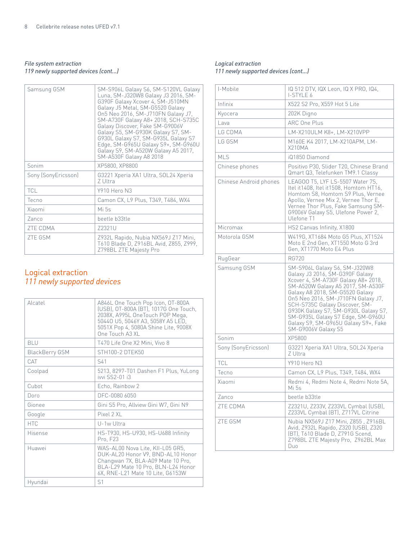#### *File system extraction 119 newly supported devices (cont...)*

| Samsung GSM         | SM-S906L Galaxy S6, SM-S120VL Galaxy<br>Luna, SM-J320W8 Galaxy J3 2016, SM-<br>G390F Galaxy Xcover 4, SM-J510MN<br>Galaxy J5 Metal, SM-G5520 Galaxy<br>On5 Neo 2016, SM-J710FN Galaxy J7,<br>SM-A730F Galaxy A8+ 2018, SCH-S735C<br>Galaxy Discover, Fake SM-G9006V<br>Galaxy S5, SM-G930K Galaxy S7, SM-<br>G930L Galaxy S7, SM-G935L Galaxy S7<br>Edge, SM-G965U Galaxy S9+, SM-G960U<br>Galaxy S9, SM-A520W Galaxy A5 2017,<br>SM-A530F Galaxy A8 2018 |
|---------------------|-----------------------------------------------------------------------------------------------------------------------------------------------------------------------------------------------------------------------------------------------------------------------------------------------------------------------------------------------------------------------------------------------------------------------------------------------------------|
| Sonim               | XP5800, XP8800                                                                                                                                                                                                                                                                                                                                                                                                                                            |
| Sony (SonyEricsson) | G3221 Xperia XA1 Ultra, SOL24 Xperia<br>Z Ultra                                                                                                                                                                                                                                                                                                                                                                                                           |
| <b>TCL</b>          | Y910 Hero N3                                                                                                                                                                                                                                                                                                                                                                                                                                              |
| Tecno               | Camon CX, L9 Plus, T349, T484, WX4                                                                                                                                                                                                                                                                                                                                                                                                                        |
| Xiaomi              | Mi 5s                                                                                                                                                                                                                                                                                                                                                                                                                                                     |
| Zanco               | beetle b33tle                                                                                                                                                                                                                                                                                                                                                                                                                                             |
| ZTE CDMA            | Z2321U                                                                                                                                                                                                                                                                                                                                                                                                                                                    |
| <b>ZTE GSM</b>      | Z932L Rapido, Nubia NX569J Z17 Mini,<br>T610 Blade D, Z916BL Avid, Z855, Z999,<br>Z798BL ZTE Majesty Pro                                                                                                                                                                                                                                                                                                                                                  |

## Logical extraction *111 newly supported devices*

| Alcatel        | A846L One Touch Pop Icon, OT-800A<br>(USB), OT-800A (BT), 1017G One Touch,<br>2038X, A995L OneTouch POP Mega,<br>50440 U5, 5046Y A3, 5058Y A5 LED,<br>5051X Pop 4, 5080A Shine Lite, 9008X<br>One Touch A3 XL |
|----------------|---------------------------------------------------------------------------------------------------------------------------------------------------------------------------------------------------------------|
| <b>BLU</b>     | T470 Life One X2 Mini, Vivo 8                                                                                                                                                                                 |
| BlackBerry GSM | STH100-2 DTEK50                                                                                                                                                                                               |
| CAT            | S41                                                                                                                                                                                                           |
| Coolpad        | 5213, 8297-T01 Dashen F1 Plus, YuLong<br>ivvi SS2-01 i3                                                                                                                                                       |
| Cubot          | Echo, Rainbow 2                                                                                                                                                                                               |
| Doro           | DFC-0080 6050                                                                                                                                                                                                 |
| Gionee         | Gini S5 Pro, Allview Gini W7, Gini N9                                                                                                                                                                         |
| Google         | $P$ ixel $2X$ l                                                                                                                                                                                               |
| <b>HTC</b>     | U-1w Ultra                                                                                                                                                                                                    |
| Hisense        | HS-T930, HS-U930, HS-U688 Infinity<br>Pro. F23                                                                                                                                                                |
| Huawei         | WAS-AL00 Nova Lite, KII-L05 GR5,<br>DUK-AL20 Honor V9, BND-AL10 Honor<br>Changwan 7X, BLA-A09 Mate 10 Pro,<br>BLA-L29 Mate 10 Pro, BLN-L24 Honor<br>6X, RNE-L21 Mate 10 Lite, G6153W                          |
| Hyundai        | S <sub>1</sub>                                                                                                                                                                                                |
|                |                                                                                                                                                                                                               |

#### *Logical extraction 111 newly supported devices (cont...)*

| I-Mobile               | IQ 512 DTV, IQX Leon, IQ X PRO, IQ4,<br><b>I-STYLE 6</b>                                                                                                                                                                                                                                                                                                                                            |
|------------------------|-----------------------------------------------------------------------------------------------------------------------------------------------------------------------------------------------------------------------------------------------------------------------------------------------------------------------------------------------------------------------------------------------------|
| Infinix                | X522 S2 Pro, X559 Hot 5 Lite                                                                                                                                                                                                                                                                                                                                                                        |
| Kyocera                | 202K Digno                                                                                                                                                                                                                                                                                                                                                                                          |
| Lava                   | ARC One Plus                                                                                                                                                                                                                                                                                                                                                                                        |
| LG CDMA                | LM-X210ULM K8+, LM-X210VPP                                                                                                                                                                                                                                                                                                                                                                          |
| LG GSM                 | M160E K4 2017, LM-X210APM, LM-<br>X210MA                                                                                                                                                                                                                                                                                                                                                            |
| <b>MLS</b>             | iQ1850 Diamond                                                                                                                                                                                                                                                                                                                                                                                      |
| Chinese phones         | Positivo P30, Slider T20, Chinese Brand<br>Qmart Q3, Telefunken TM9.1 Classy                                                                                                                                                                                                                                                                                                                        |
| Chinese Android phones | LEAGOO T5, LYF LS-5507 Water 7S,<br>Itel it1408, Itel it1508, Homtom HT16,<br>Homtom S8, Homtom S9 Plus, Vernee<br>Apollo, Vernee Mix 2, Vernee Thor E,<br>Vernee Thor Plus, Fake Samsung SM-<br>G9006V Galaxy S5, Ulefone Power 2,<br>Ulefone T1                                                                                                                                                   |
| Micromax               | HS2 Canvas Infinity, X1800                                                                                                                                                                                                                                                                                                                                                                          |
| Motorola GSM           | W419G, XT1684 Moto G5 Plus, XT1524<br>Moto E 2nd Gen, XT1550 Moto G 3rd<br>Gen, XT1770 Moto E4 Plus                                                                                                                                                                                                                                                                                                 |
| RugGear                | <b>RG720</b>                                                                                                                                                                                                                                                                                                                                                                                        |
| Samsung GSM            | SM-S906L Galaxy S6, SM-J320W8<br>Galaxy J3 2016, SM-G390F Galaxy<br>Xcover 4, SM-A730F Galaxy A8+ 2018,<br>SM-A520W Galaxy A5 2017, SM-A530F<br>Galaxy A8 2018, SM-G5520 Galaxy<br>On5 Neo 2016, SM-J710FN Galaxy J7,<br>SCH-S735C Galaxy Discover, SM-<br>G930K Galaxy S7, SM-G930L Galaxy S7,<br>SM-G935L Galaxy S7 Edge, SM-G960U<br>Galaxy S9, SM-G965U Galaxy S9+, Fake<br>SM-G9006V Galaxy S5 |
| Sonim                  | XP5800                                                                                                                                                                                                                                                                                                                                                                                              |
| Sony (SonyEricsson)    | G3221 Xperia XA1 Ultra, SOL24 Xperia<br>Z Ultra                                                                                                                                                                                                                                                                                                                                                     |
| <b>TCL</b>             | Y910 Hero N3                                                                                                                                                                                                                                                                                                                                                                                        |
| Tecno                  | Camon CX, L9 Plus, T349, T484, WX4                                                                                                                                                                                                                                                                                                                                                                  |
| Xiaomi                 | Redmi 4, Redmi Note 4, Redmi Note 5A,<br>Mi 5s                                                                                                                                                                                                                                                                                                                                                      |
| Zanco                  | beetle b33tle                                                                                                                                                                                                                                                                                                                                                                                       |
| ZTE CDMA               | Z2321U, Z233V, Z233VL Cymbal (USB),<br>Z233VL Cymbal (BT), Z717VL Citrine                                                                                                                                                                                                                                                                                                                           |
| ZTE GSM                | Nubia NX569J Z17 Mini, Z855, Z916BL<br>Avid, Z932L Rapido, Z320 (USB), Z320<br>(BT), T610 Blade D, Z791G Scend,<br>Z798BL ZTE Majesty Pro, Z962BL Max<br>Duo                                                                                                                                                                                                                                        |